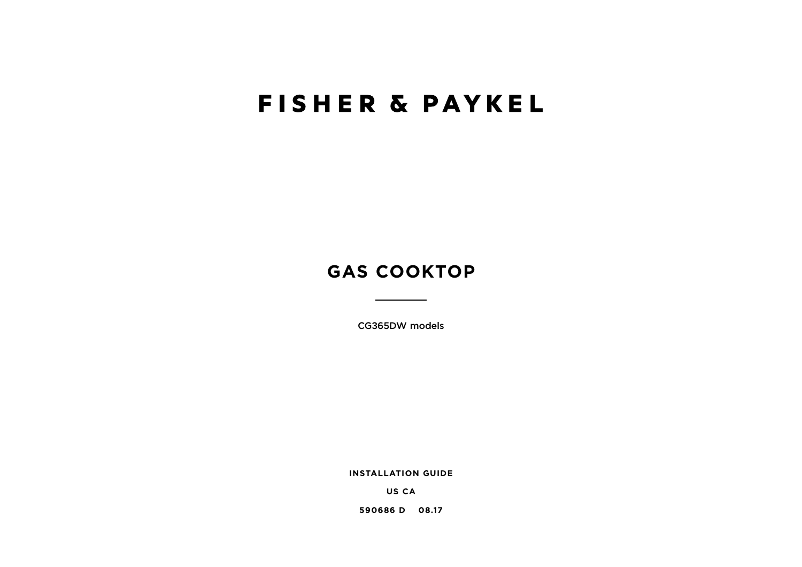# **FISHER & PAYKEL**

## **GAS COOKTOP**

CG365DW models

**INSTALLATION GUIDE**

**US CA**

**590686 D 08.17**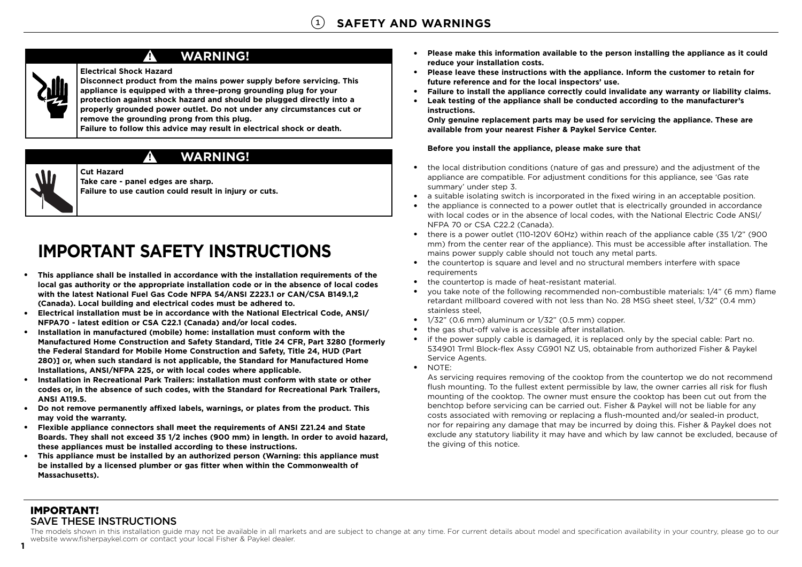

### **WARNING!**

#### **Electrical Shock Hazard**

**!**

**!**

**Cut Hazard**

**Disconnect product from the mains power supply before servicing. This appliance is equipped with a three-prong grounding plug for your protection against shock hazard and should be plugged directly into a properly grounded power outlet. Do not under any circumstances cut or remove the grounding prong from this plug.** 

**Failure to follow this advice may result in electrical shock or death.**

### **WARNING!**



**Take care - panel edges are sharp. Failure to use caution could result in injury or cuts.**

## **IMPORTANT SAFETY INSTRUCTIONS**

- ● **This appliance shall be installed in accordance with the installation requirements of the local gas authority or the appropriate installation code or in the absence of local codes with the latest National Fuel Gas Code NFPA 54/ANSI Z223.1 or CAN/CSA B149.1,2 (Canada). Local building and electrical codes must be adhered to.**
- **Electrical installation must be in accordance with the National Electrical Code, ANSI/ NFPA70 - latest edition or CSA C22.1 (Canada) and/or local codes.**
- $\bullet$  **Installation in manufactured (mobile) home: installation must conform with the Manufactured Home Construction and Safety Standard, Title 24 CFR, Part 3280 [formerly the Federal Standard for Mobile Home Construction and Safety, Title 24, HUD (Part 280)] or, when such standard is not applicable, the Standard for Manufactured Home Installations, ANSI/NFPA 225, or with local codes where applicable.**
- ● **Installation in Recreational Park Trailers: installation must conform with state or other codes or, in the absence of such codes, with the Standard for Recreational Park Trailers, ANSI A119.5.**
- ● **Do not remove permanently affixed labels, warnings, or plates from the product. This may void the warranty.**
- **Flexible appliance connectors shall meet the requirements of ANSI Z21.24 and State Boards. They shall not exceed 35 1/2 inches (900 mm) in length. In order to avoid hazard, these appliances must be installed according to these instructions.**
- ● **This appliance must be installed by an authorized person (Warning: this appliance must be installed by a licensed plumber or gas fitter when within the Commonwealth of Massachusetts).**
- ● **Please make this information available to the person installing the appliance as it could reduce your installation costs.**
- $\bullet$  **Please leave these instructions with the appliance. Inform the customer to retain for future reference and for the local inspectors' use.**
- ●**Failure to install the appliance correctly could invalidate any warranty or liability claims.**
- $\bullet$  **Leak testing of the appliance shall be conducted according to the manufacturer's instructions.**

**Only genuine replacement parts may be used for servicing the appliance. These are available from your nearest Fisher & Paykel Service Center.**

#### **Before you install the appliance, please make sure that**

- ● the local distribution conditions (nature of gas and pressure) and the adjustment of the appliance are compatible. For adjustment conditions for this appliance, see 'Gas rate summary' under step 3.
- ●a suitable isolating switch is incorporated in the fixed wiring in an acceptable position.
- $\bullet$  the appliance is connected to a power outlet that is electrically grounded in accordance with local codes or in the absence of local codes, with the National Electric Code ANSI/ NFPA 70 or CSA C22.2 (Canada).
- $\bullet$  there is a power outlet (110-120V 60Hz) within reach of the appliance cable (35 1/2" (900 mm) from the center rear of the appliance). This must be accessible after installation. The mains power supply cable should not touch any metal parts.
- ● the countertop is square and level and no structural members interfere with space requirements
- the countertop is made of heat-resistant material.
- ● you take note of the following recommended non-combustible materials: 1/4" (6 mm) flame retardant millboard covered with not less than No. 28 MSG sheet steel, 1/32" (0.4 mm) stainless steel,
- 1/32" (0.6 mm) aluminum or 1/32" (0.5 mm) copper.
- ●the gas shut-off valve is accessible after installation.
- if the power supply cable is damaged, it is replaced only by the special cable: Part no. 534901 Trml Block-flex Assy CG901 NZ US, obtainable from authorized Fisher & Paykel Service Agents.
- NOTE:

As servicing requires removing of the cooktop from the countertop we do not recommend flush mounting. To the fullest extent permissible by law, the owner carries all risk for flush mounting of the cooktop. The owner must ensure the cooktop has been cut out from the benchtop before servicing can be carried out. Fisher & Paykel will not be liable for any costs associated with removing or replacing a flush-mounted and/or sealed-in product, nor for repairing any damage that may be incurred by doing this. Fisher & Paykel does not exclude any statutory liability it may have and which by law cannot be excluded, because of the giving of this notice.

#### IMPORTANT! SAVE THESE INSTRUCTIONS

**1**

The models shown in this installation guide may not be available in all markets and are subject to change at any time. For current details about model and specification availability in your country, please go to our website www.fisherpaykel.com or contact your local Fisher & Paykel dealer.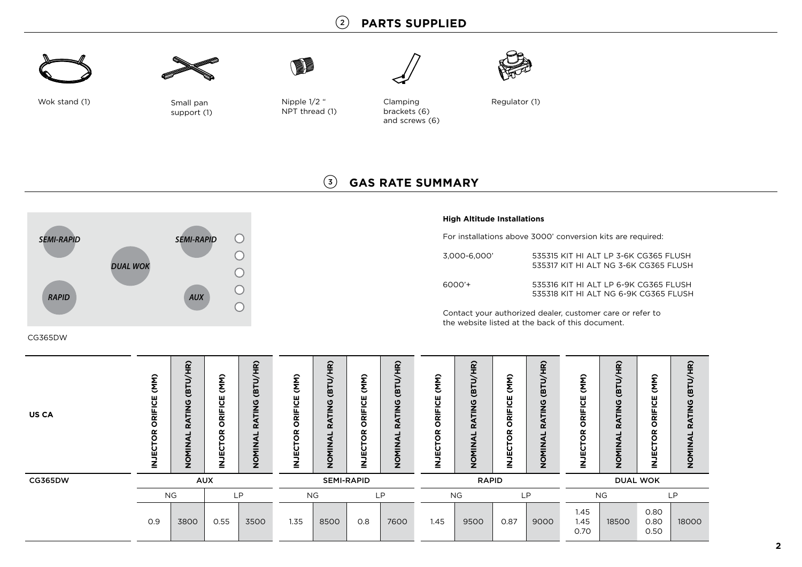### 2 **PARTS SUPPLIED**





Small pan support (1)

Wok stand (1) Small pan Nipple 1/2 " NPT thread (1)

**IN** 

Clamping brackets (6) and screws (6)



Regulator (1)

### 3 **GAS RATE SUMMARY**



#### **High Altitude Installations**

For installations above 3000' conversion kits are required:

| 3,000-6,000' | 535315 KIT HI ALT LP 3-6K CG365 FLUSH<br>535317 KIT HI ALT NG 3-6K CG365 FLUSH |
|--------------|--------------------------------------------------------------------------------|
| 6000'+       | 535316 KIT HI ALT LP 6-9K CG365 FLUSH<br>535318 KIT HI ALT NG 6-9K CG365 FLUSH |

Contact your authorized dealer, customer care or refer to the website listed at the back of this document.

#### CG365DW

| <b>US CA</b>   | (MM)<br>ORIFICE<br>TOR<br>ことこ | $\widetilde{H}$<br>Та)<br>ATING<br>$\alpha$<br>◀<br>z<br>₹<br>ō<br>$\overline{\phantom{a}}$ | (MM)<br>ш<br>ω<br>-<br>≃<br>O<br>œ<br>Ο<br>ш | $\frac{1}{2}$<br>Ξ<br><b>Ta)</b><br>ပ္ခ<br>Ę<br>œ<br>⋖<br>Σ<br>Σ<br>ō<br>Z | (MM)<br>ORIFICE<br>≃<br>Ο<br>Ě | <u>ਣ</u><br>듮<br>$\overline{\phantom{0}}$<br>ט<br>$\alpha$<br>O<br>7 | (MM)<br>ш<br>ပ<br>$\frac{1}{\alpha}$<br>٥<br>≃<br>ш<br>Ξ | (8TU/HR)<br>RATING<br>NOMINAL | (MM)<br><b>RIFICE</b><br>$\circ$<br>õ<br>₩<br>2 | $\frac{\widehat{\mathbf{r}}}{\mathbf{r}}$<br>Ξ<br>$\overline{5}$<br>ይ<br>2<br>RATI<br>⋖<br>$\frac{1}{2}$<br>$\bar{Q}$ | (MM)<br>ш<br>ပ<br>$\frac{1}{\alpha}$<br>O<br>≃<br>Ο<br>ш<br>∍<br>Ż | (BTU/HR)<br>RATING<br>₹<br><b>NINON</b> | (MM)<br>ORIFICE<br>δŘ<br>Ŭ<br>⊇ | $\widehat{\mathbf{g}}$<br><b>ED</b><br>$\frac{0}{2}$<br><b>RAFI</b><br>⋖<br>IOMIN<br>$\overline{ }$ | (MM)<br>ပ္ပ<br>ORIFI<br>õ<br>ことこ | (BTU/HR)<br><b>RATING</b><br>NOMINAL |
|----------------|-------------------------------|---------------------------------------------------------------------------------------------|----------------------------------------------|----------------------------------------------------------------------------|--------------------------------|----------------------------------------------------------------------|----------------------------------------------------------|-------------------------------|-------------------------------------------------|-----------------------------------------------------------------------------------------------------------------------|--------------------------------------------------------------------|-----------------------------------------|---------------------------------|-----------------------------------------------------------------------------------------------------|----------------------------------|--------------------------------------|
| <b>CG365DW</b> | <b>AUX</b>                    |                                                                                             |                                              | <b>SEMI-RAPID</b>                                                          |                                |                                                                      | <b>RAPID</b>                                             |                               |                                                 | <b>DUAL WOK</b>                                                                                                       |                                                                    |                                         |                                 |                                                                                                     |                                  |                                      |
|                | <b>NG</b><br><b>LP</b>        |                                                                                             | <b>NG</b><br><b>LP</b>                       |                                                                            |                                |                                                                      | <b>NG</b><br>LP                                          |                               |                                                 | <b>NG</b>                                                                                                             |                                                                    | <b>LP</b>                               |                                 |                                                                                                     |                                  |                                      |
|                | O.9                           | 3800                                                                                        | 0.55                                         | 3500                                                                       | 1.35                           | 8500                                                                 | O.8                                                      | 7600                          | 1.45                                            | 9500                                                                                                                  | 0.87                                                               | 9000                                    | 1.45<br>1.45<br>0.70            | 18500                                                                                               | 0.80<br>0.80<br>0.50             | 18000                                |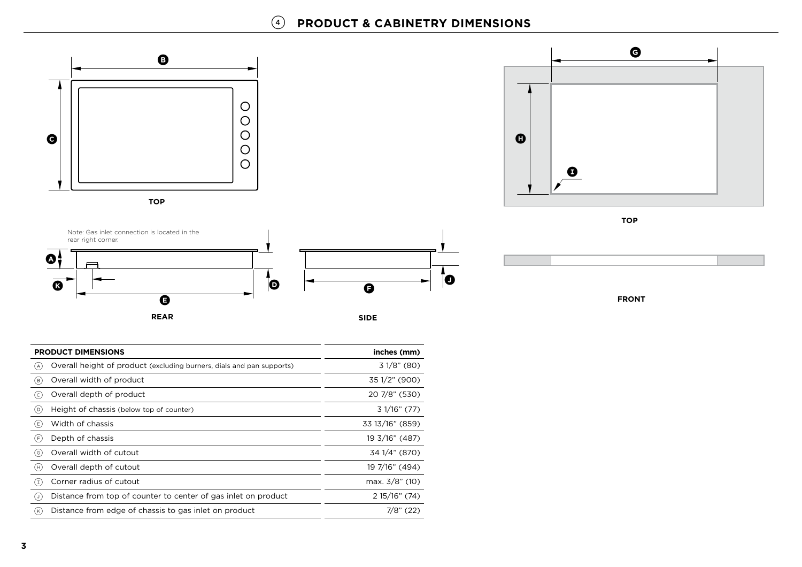### 4 **PRODUCT & CABINETRY DIMENSIONS**





|     | <b>PRODUCT DIMENSIONS</b>                                             | inches (mm)     |  |  |
|-----|-----------------------------------------------------------------------|-----------------|--|--|
| (A) | Overall height of product (excluding burners, dials and pan supports) | 31/8" (80)      |  |  |
| (в) | Overall width of product                                              | 35 1/2" (900)   |  |  |
| (c  | Overall depth of product                                              | 20 7/8" (530)   |  |  |
| (D) | Height of chassis (below top of counter)                              | 3 1/16" (77)    |  |  |
| (E) | Width of chassis                                                      | 33 13/16" (859) |  |  |
| (F  | Depth of chassis                                                      | 19 3/16" (487)  |  |  |
| (G  | Overall width of cutout                                               | 34 1/4" (870)   |  |  |
| (H) | Overall depth of cutout                                               | 19 7/16" (494)  |  |  |
| ( I | Corner radius of cutout                                               | max. 3/8" (10)  |  |  |
| ( J | Distance from top of counter to center of gas inlet on product        | 2 15/16" (74)   |  |  |
| (K  | Distance from edge of chassis to gas inlet on product                 | $7/8$ " (22)    |  |  |



**TOP**



**FRONT**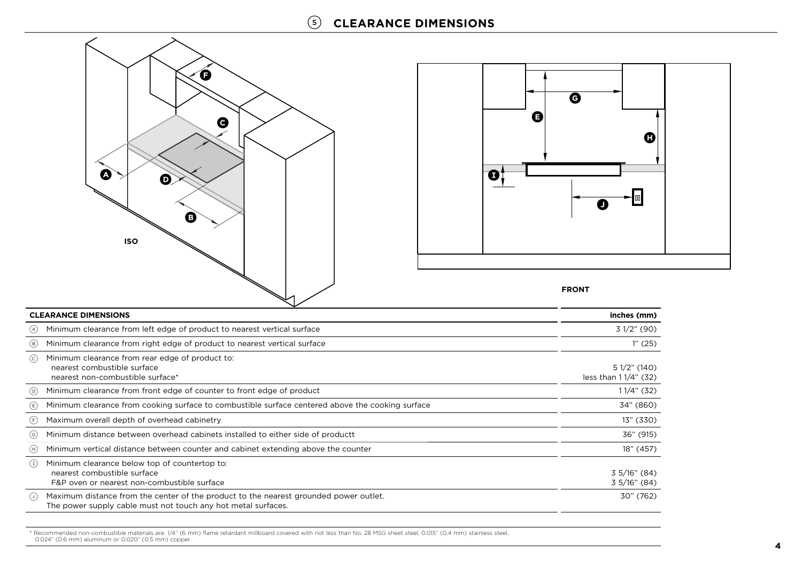



#### **FRONT**

| <b>CLEARANCE DIMENSIONS</b> | inches (mm)                                                                                                                                            |                                        |
|-----------------------------|--------------------------------------------------------------------------------------------------------------------------------------------------------|----------------------------------------|
| (A)                         | Minimum clearance from left edge of product to nearest vertical surface                                                                                | 31/2" (90)                             |
| (B)                         | Minimum clearance from right edge of product to nearest vertical surface                                                                               | 1''(25)                                |
| (c)                         | Minimum clearance from rear edge of product to:<br>nearest combustible surface<br>nearest non-combustible surface*                                     | $51/2$ " (140)<br>less than 11/4" (32) |
| (D)                         | Minimum clearance from front edge of counter to front edge of product                                                                                  | $11/4$ " (32)                          |
| (E)                         | Minimum clearance from cooking surface to combustible surface centered above the cooking surface                                                       | 34" (860)                              |
| (F)                         | Maximum overall depth of overhead cabinetry                                                                                                            | 13" (330)                              |
| (G)                         | Minimum distance between overhead cabinets installed to either side of productt                                                                        | 36" (915)                              |
| (H)                         | Minimum vertical distance between counter and cabinet extending above the counter                                                                      | 18" (457)                              |
| $\left(1\right)$            | Minimum clearance below top of countertop to:<br>nearest combustible surface<br>F&P oven or nearest non-combustible surface                            | 35/16" (84)<br>$3\frac{5}{16}$ " (84)  |
| $(\cup)$                    | Maximum distance from the center of the product to the nearest grounded power outlet.<br>The power supply cable must not touch any hot metal surfaces. | 30" (762)                              |

\* Recommended non-combustible materials are: 1/4" (6 mm) flame retardant millboard covered with not less than No. 28 MSG sheet steel, 0.015" (0.4 mm) stainless steel, 0.024" (0.6 mm) aluminum or 0.020" (0.5 mm) copper.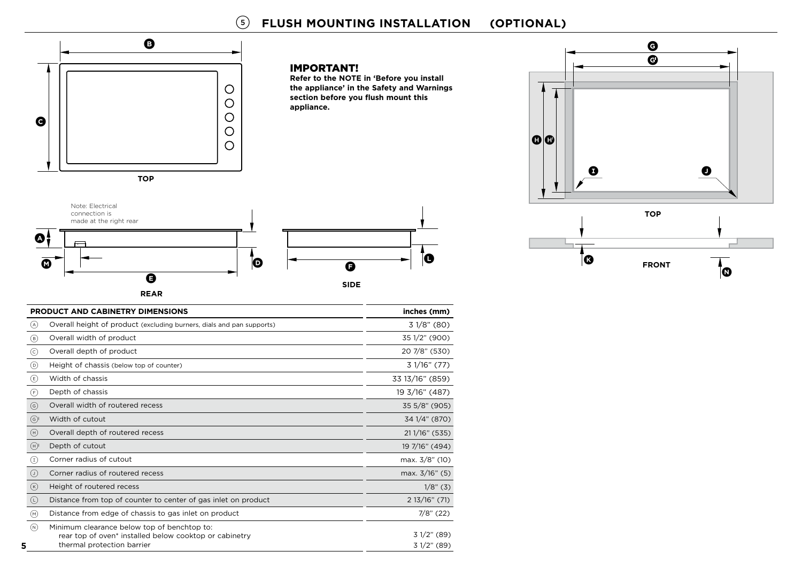### 5 **FLUSH MOUNTING INSTALLATION (OPTIONAL)**

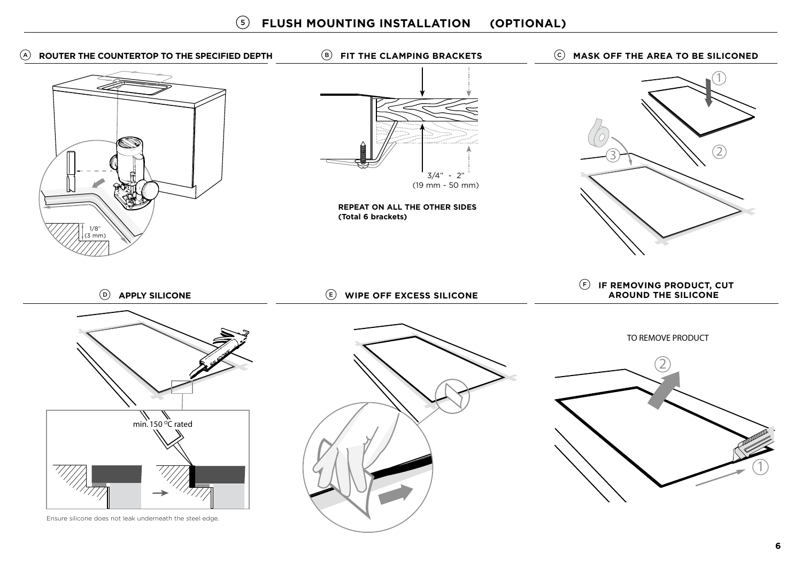5 mm (3 mm)12 $3H \times 11$ min. 150 °C rated 12TO REMOVE PRODUCTA **ROUTER THE COUNTERTOP TO THE SPECIFIED DEPTH** D **APPLY SILICONE** B **FIT THE CLAMPING BRACKETS** E **WIPE OFF EXCESS SILICONE** C **MASK OFF THE AREA TO BE SILICONED** F **IF REMOVING PRODUCT, CUT AROUND THE SILICONEREPEAT ON ALL THE OTHER SIDES (Total 6 brackets)**  $3/4" - 2"$ (19 mm - 50 mm) 1/8"

Ensure silicone does not leak underneath the steel edge.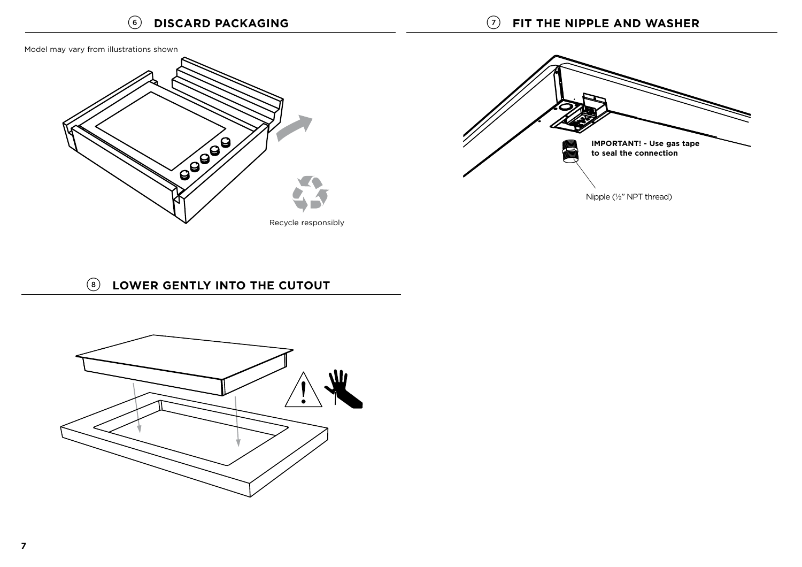Model may vary from illustrations shown





### 8 **LOWER GENTLY INTO THE CUTOUT**

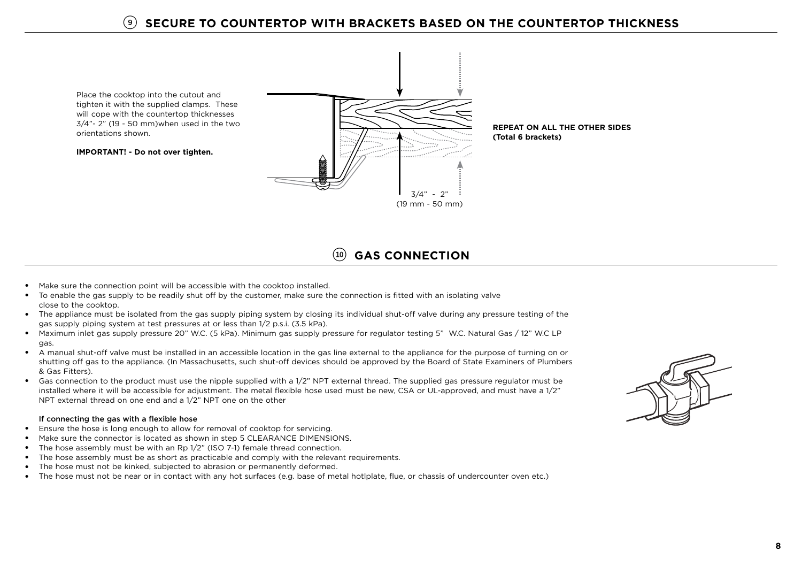Place the cooktop into the cutout and tighten it with the supplied clamps. These will cope with the countertop thicknesses 3/4"- 2" (19 - 50 mm)when used in the two orientations shown.

**IMPORTANT! - Do not over tighten.**



**REPEAT ON ALL THE OTHER SIDES(Total 6 brackets)**

### !0 **GAS CONNECTION**

- Make sure the connection point will be accessible with the cooktop installed.
- To enable the gas supply to be readily shut off by the customer, make sure the connection is fitted with an isolating valve close to the cooktop.
- The appliance must be isolated from the gas supply piping system by closing its individual shut-off valve during any pressure testing of the gas supply piping system at test pressures at or less than 1/2 p.s.i. (3.5 kPa).
- Maximum inlet gas supply pressure 20" W.C. (5 kPa). Minimum gas supply pressure for regulator testing 5" W.C. Natural Gas / 12" W.C LP gas.
- A manual shut-off valve must be installed in an accessible location in the gas line external to the appliance for the purpose of turning on or shutting off gas to the appliance. (In Massachusetts, such shut-off devices should be approved by the Board of State Examiners of Plumbers & Gas Fitters).
- Gas connection to the product must use the nipple supplied with a 1/2" NPT external thread. The supplied gas pressure regulator must be installed where it will be accessible for adjustment. The metal flexible hose used must be new, CSA or UL-approved, and must have a 1/2" NPT external thread on one end and a 1/2" NPT one on the other

#### If connecting the gas with a flexible hose

- Ensure the hose is long enough to allow for removal of cooktop for servicing.
- Make sure the connector is located as shown in step 5 CLEARANCE DIMENSIONS.
- The hose assembly must be with an Rp 1/2" (ISO 7-1) female thread connection.
- The hose assembly must be as short as practicable and comply with the relevant requirements.
- The hose must not be kinked, subjected to abrasion or permanently deformed.
- The hose must not be near or in contact with any hot surfaces (e.g. base of metal hotlplate, flue, or chassis of undercounter oven etc.)

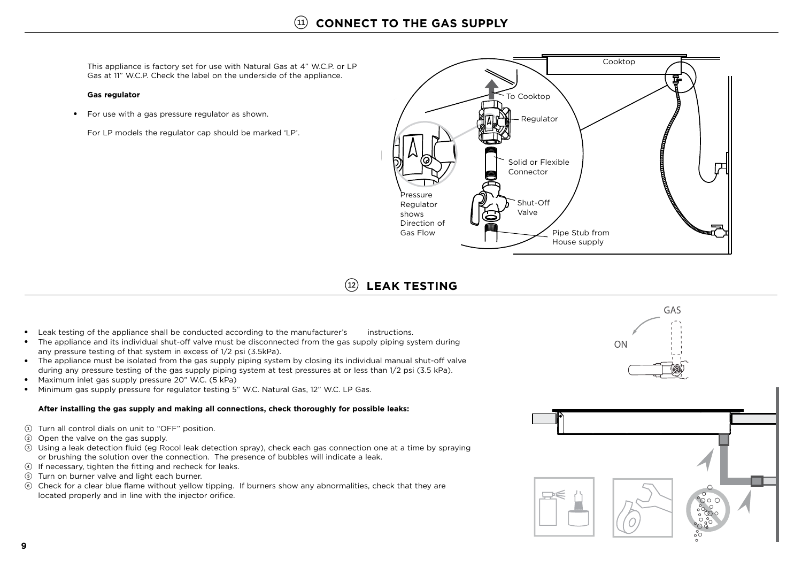This appliance is factory set for use with Natural Gas at 4" W.C.P. or LP Gas at 11" W.C.P. Check the label on the underside of the appliance.

#### **Gas regulator**

● For use with a gas pressure regulator as shown.

For LP models the regulator cap should be marked 'LP'.



### (12) **LEAK TESTING**

- Leak testing of the appliance shall be conducted according to the manufacturer's instructions.
- The appliance and its individual shut-off valve must be disconnected from the gas supply piping system during any pressure testing of that system in excess of 1/2 psi (3.5kPa).
- The appliance must be isolated from the gas supply piping system by closing its individual manual shut-off valve during any pressure testing of the gas supply piping system at test pressures at or less than 1/2 psi (3.5 kPa).
- Maximum inlet gas supply pressure 20" W.C. (5 kPa)
- Minimum gas supply pressure for regulator testing 5" W.C. Natural Gas, 12" W.C. LP Gas.

#### **After installing the gas supply and making all connections, check thoroughly for possible leaks:**

- 1 Turn all control dials on unit to "OFF" position.
- 2 Open the valve on the gas supply.
- 3 Using a leak detection fluid (eg Rocol leak detection spray), check each gas connection one at a time by spraying or brushing the solution over the connection. The presence of bubbles will indicate a leak.
- 4 If necessary, tighten the fitting and recheck for leaks.
- 5 Turn on burner valve and light each burner.
- 6 Check for a clear blue flame without yellow tipping. If burners show any abnormalities, check that they are located properly and in line with the injector orifice.

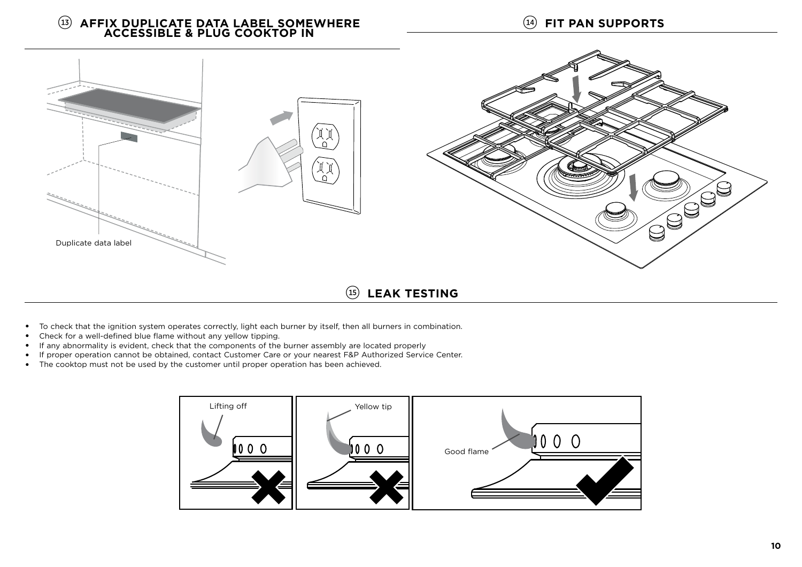!4 **FIT PAN SUPPORTS**

# **INSTALLATION INSTRUCTIONS**!3 **AFFIX DUPLICATE DATA LABEL SOMEWHERE ACCESSIBLE & PLUG COOKTOP IN**



!5 **LEAK TESTING**

- To check that the ignition system operates correctly, light each burner by itself, then all burners in combination.
- ●Check for a well-defined blue flame without any yellow tipping.
- If any abnormality is evident, check that the components of the burner assembly are located properly
- If proper operation cannot be obtained, contact Customer Care or your nearest F&P Authorized Service Center.
- The cooktop must not be used by the customer until proper operation has been achieved.